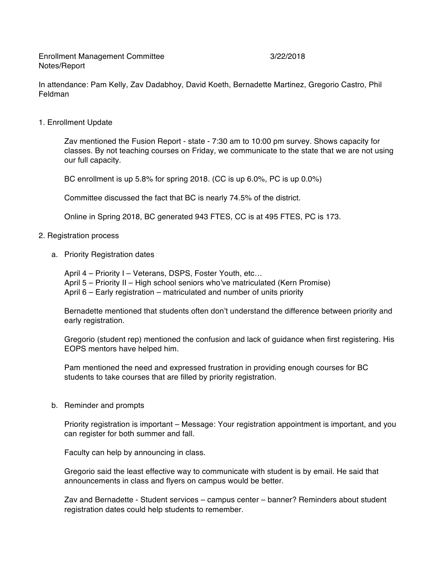Enrollment Management Committee 3/22/2018 Notes/Report

In attendance: Pam Kelly, Zav Dadabhoy, David Koeth, Bernadette Martinez, Gregorio Castro, Phil Feldman

1. Enrollment Update

Zav mentioned the Fusion Report - state - 7:30 am to 10:00 pm survey. Shows capacity for classes. By not teaching courses on Friday, we communicate to the state that we are not using our full capacity.

BC enrollment is up 5.8% for spring 2018. (CC is up 6.0%, PC is up 0.0%)

Committee discussed the fact that BC is nearly 74.5% of the district.

Online in Spring 2018, BC generated 943 FTES, CC is at 495 FTES, PC is 173.

- 2. Registration process
	- a. Priority Registration dates

April 4 – Priority I – Veterans, DSPS, Foster Youth, etc… April 5 – Priority II – High school seniors who've matriculated (Kern Promise) April 6 – Early registration – matriculated and number of units priority

Bernadette mentioned that students often don't understand the difference between priority and early registration.

Gregorio (student rep) mentioned the confusion and lack of guidance when first registering. His EOPS mentors have helped him.

Pam mentioned the need and expressed frustration in providing enough courses for BC students to take courses that are filled by priority registration.

b. Reminder and prompts

Priority registration is important – Message: Your registration appointment is important, and you can register for both summer and fall.

Faculty can help by announcing in class.

Gregorio said the least effective way to communicate with student is by email. He said that announcements in class and flyers on campus would be better.

Zav and Bernadette - Student services – campus center – banner? Reminders about student registration dates could help students to remember.